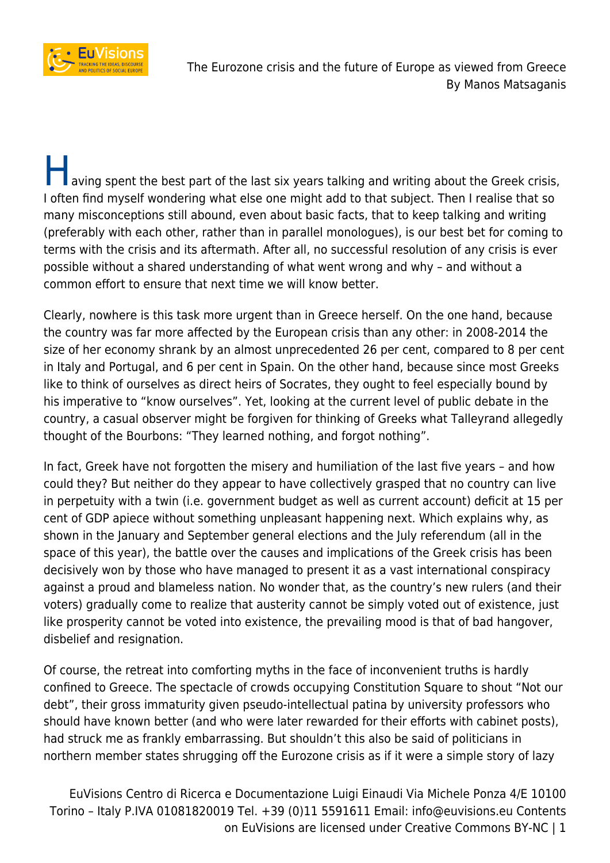

**T** aving spent the best part of the last six years talking and writing about the Greek crisis, I often find myself wondering what else one might add to that subject. Then I realise that so many misconceptions still abound, even about basic facts, that to keep talking and writing (preferably with each other, rather than in parallel monologues), is our best bet for coming to terms with the crisis and its aftermath. After all, no successful resolution of any crisis is ever possible without a shared understanding of what went wrong and why – and without a common effort to ensure that next time we will know better.

Clearly, nowhere is this task more urgent than in Greece herself. On the one hand, because the country was far more affected by the European crisis than any other: in 2008-2014 the size of her economy shrank by an almost unprecedented 26 per cent, compared to 8 per cent in Italy and Portugal, and 6 per cent in Spain. On the other hand, because since most Greeks like to think of ourselves as direct heirs of Socrates, they ought to feel especially bound by his imperative to "know ourselves". Yet, looking at the current level of public debate in the country, a casual observer might be forgiven for thinking of Greeks what Talleyrand allegedly thought of the Bourbons: "They learned nothing, and forgot nothing".

In fact, Greek have not forgotten the misery and humiliation of the last five years – and how could they? But neither do they appear to have collectively grasped that no country can live in perpetuity with a twin (i.e. government budget as well as current account) deficit at 15 per cent of GDP apiece without something unpleasant happening next. Which explains why, as shown in the January and September general elections and the July referendum (all in the space of this year), the battle over the causes and implications of the Greek crisis has been decisively won by those who have managed to present it as a vast international conspiracy against a proud and blameless nation. No wonder that, as the country's new rulers (and their voters) gradually come to realize that austerity cannot be simply voted out of existence, just like prosperity cannot be voted into existence, the prevailing mood is that of bad hangover, disbelief and resignation.

Of course, the retreat into comforting myths in the face of inconvenient truths is hardly confined to Greece. The spectacle of crowds occupying Constitution Square to shout "Not our debt", their gross immaturity given pseudo-intellectual patina by university professors who should have known better (and who were later rewarded for their efforts with cabinet posts), had struck me as frankly embarrassing. But shouldn't this also be said of politicians in northern member states shrugging off the Eurozone crisis as if it were a simple story of lazy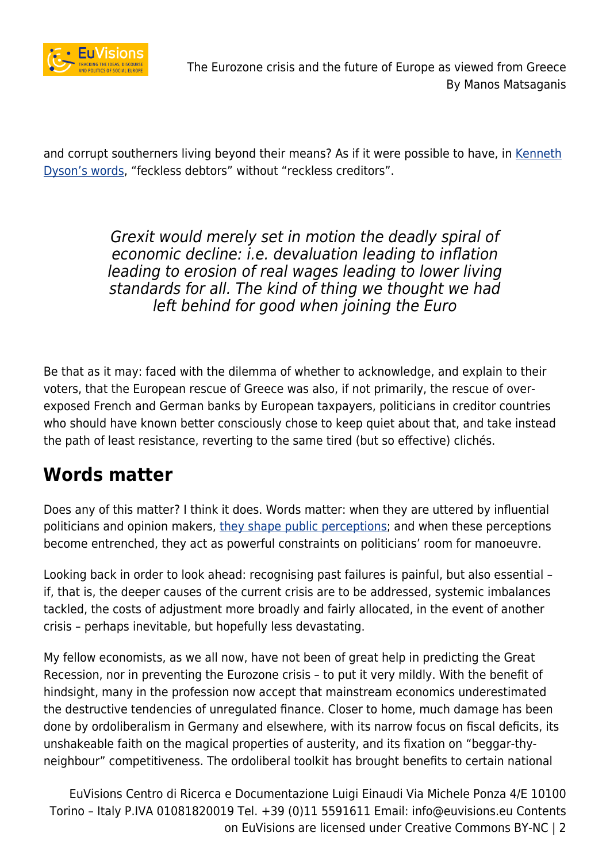

and corrupt southerners living beyond their means? As if it were possible to have, in [Kenneth](https://global.oup.com/academic/product/states-debt-and-power-9780198714071?cc=it&lang=en&) [Dyson's words](https://global.oup.com/academic/product/states-debt-and-power-9780198714071?cc=it&lang=en&), "feckless debtors" without "reckless creditors".

> Grexit would merely set in motion the deadly spiral of economic decline: i.e. devaluation leading to inflation leading to erosion of real wages leading to lower living standards for all. The kind of thing we thought we had left behind for good when joining the Euro

Be that as it may: faced with the dilemma of whether to acknowledge, and explain to their voters, that the European rescue of Greece was also, if not primarily, the rescue of overexposed French and German banks by European taxpayers, politicians in creditor countries who should have known better consciously chose to keep quiet about that, and take instead the path of least resistance, reverting to the same tired (but so effective) clichés.

### **Words matter**

Does any of this matter? I think it does. Words matter: when they are uttered by influential politicians and opinion makers, [they shape public perceptions;](https://www.uclouvain.be/cps/ucl/doc/etes/documents/2015.Justifying_Europe_final.pdf) and when these perceptions become entrenched, they act as powerful constraints on politicians' room for manoeuvre.

Looking back in order to look ahead: recognising past failures is painful, but also essential – if, that is, the deeper causes of the current crisis are to be addressed, systemic imbalances tackled, the costs of adjustment more broadly and fairly allocated, in the event of another crisis – perhaps inevitable, but hopefully less devastating.

My fellow economists, as we all now, have not been of great help in predicting the Great Recession, nor in preventing the Eurozone crisis – to put it very mildly. With the benefit of hindsight, many in the profession now accept that mainstream economics underestimated the destructive tendencies of unregulated finance. Closer to home, much damage has been done by ordoliberalism in Germany and elsewhere, with its narrow focus on fiscal deficits, its unshakeable faith on the magical properties of austerity, and its fixation on "beggar-thyneighbour" competitiveness. The ordoliberal toolkit has brought benefits to certain national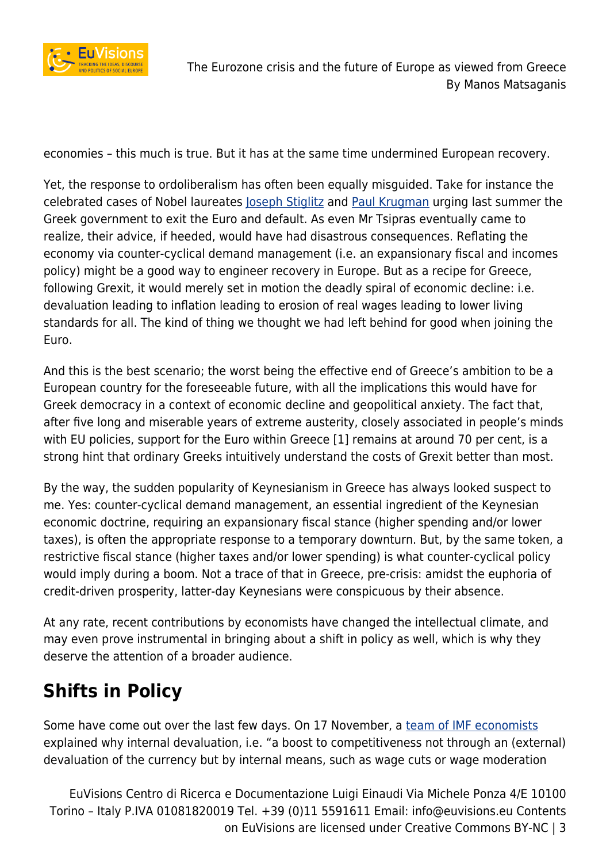

economies – this much is true. But it has at the same time undermined European recovery.

Yet, the response to ordoliberalism has often been equally misguided. Take for instance the celebrated cases of Nobel laureates loseph Stiglitz and [Paul Krugman](http://www.nytimes.com/2015/06/29/opinion/paul-krugman-greece-over-the-brink.html?_r=0) urging last summer the Greek government to exit the Euro and default. As even Mr Tsipras eventually came to realize, their advice, if heeded, would have had disastrous consequences. Reflating the economy via counter-cyclical demand management (i.e. an expansionary fiscal and incomes policy) might be a good way to engineer recovery in Europe. But as a recipe for Greece, following Grexit, it would merely set in motion the deadly spiral of economic decline: i.e. devaluation leading to inflation leading to erosion of real wages leading to lower living standards for all. The kind of thing we thought we had left behind for good when joining the Euro.

And this is the best scenario; the worst being the effective end of Greece's ambition to be a European country for the foreseeable future, with all the implications this would have for Greek democracy in a context of economic decline and geopolitical anxiety. The fact that, after five long and miserable years of extreme austerity, closely associated in people's minds with EU policies, support for the Euro within Greece [1] remains at around 70 per cent, is a strong hint that ordinary Greeks intuitively understand the costs of Grexit better than most.

By the way, the sudden popularity of Keynesianism in Greece has always looked suspect to me. Yes: counter-cyclical demand management, an essential ingredient of the Keynesian economic doctrine, requiring an expansionary fiscal stance (higher spending and/or lower taxes), is often the appropriate response to a temporary downturn. But, by the same token, a restrictive fiscal stance (higher taxes and/or lower spending) is what counter-cyclical policy would imply during a boom. Not a trace of that in Greece, pre-crisis: amidst the euphoria of credit-driven prosperity, latter-day Keynesians were conspicuous by their absence.

At any rate, recent contributions by economists have changed the intellectual climate, and may even prove instrumental in bringing about a shift in policy as well, which is why they deserve the attention of a broader audience.

# **Shifts in Policy**

Some have come out over the last few days. On 17 November, a [team of IMF economists](https://www.imf.org/external/pubs/ft/sdn/2015/sdn1522.pdf) explained why internal devaluation, i.e. "a boost to competitiveness not through an (external) devaluation of the currency but by internal means, such as wage cuts or wage moderation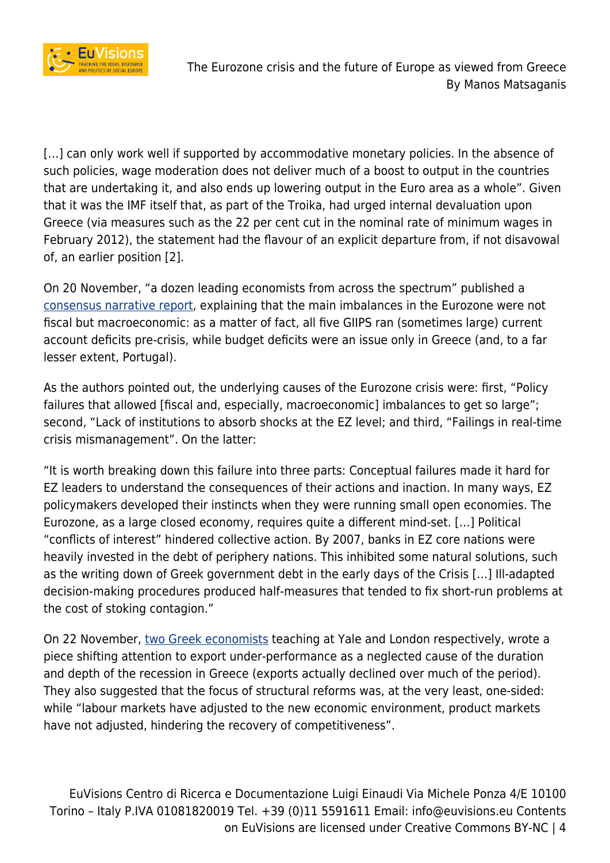

[...] can only work well if supported by accommodative monetary policies. In the absence of such policies, wage moderation does not deliver much of a boost to output in the countries that are undertaking it, and also ends up lowering output in the Euro area as a whole". Given that it was the IMF itself that, as part of the Troika, had urged internal devaluation upon Greece (via measures such as the 22 per cent cut in the nominal rate of minimum wages in February 2012), the statement had the flavour of an explicit departure from, if not disavowal of, an earlier position [2].

On 20 November, "a dozen leading economists from across the spectrum" published a [consensus narrative report](http://www.voxeu.org/article/ez-crisis-consensus-narrative), explaining that the main imbalances in the Eurozone were not fiscal but macroeconomic: as a matter of fact, all five GIIPS ran (sometimes large) current account deficits pre-crisis, while budget deficits were an issue only in Greece (and, to a far lesser extent, Portugal).

As the authors pointed out, the underlying causes of the Eurozone crisis were: first, "Policy failures that allowed [fiscal and, especially, macroeconomic] imbalances to get so large"; second, "Lack of institutions to absorb shocks at the EZ level; and third, "Failings in real-time crisis mismanagement". On the latter:

"It is worth breaking down this failure into three parts: Conceptual failures made it hard for EZ leaders to understand the consequences of their actions and inaction. In many ways, EZ policymakers developed their instincts when they were running small open economies. The Eurozone, as a large closed economy, requires quite a different mind-set. […] Political "conflicts of interest" hindered collective action. By 2007, banks in EZ core nations were heavily invested in the debt of periphery nations. This inhibited some natural solutions, such as the writing down of Greek government debt in the early days of the Crisis […] Ill-adapted decision-making procedures produced half-measures that tended to fix short-run problems at the cost of stoking contagion."

On 22 November, [two Greek economists](http://www.voxeu.org/article/challenge-trade-adjustment-greece) teaching at Yale and London respectively, wrote a piece shifting attention to export under-performance as a neglected cause of the duration and depth of the recession in Greece (exports actually declined over much of the period). They also suggested that the focus of structural reforms was, at the very least, one-sided: while "labour markets have adjusted to the new economic environment, product markets have not adjusted, hindering the recovery of competitiveness".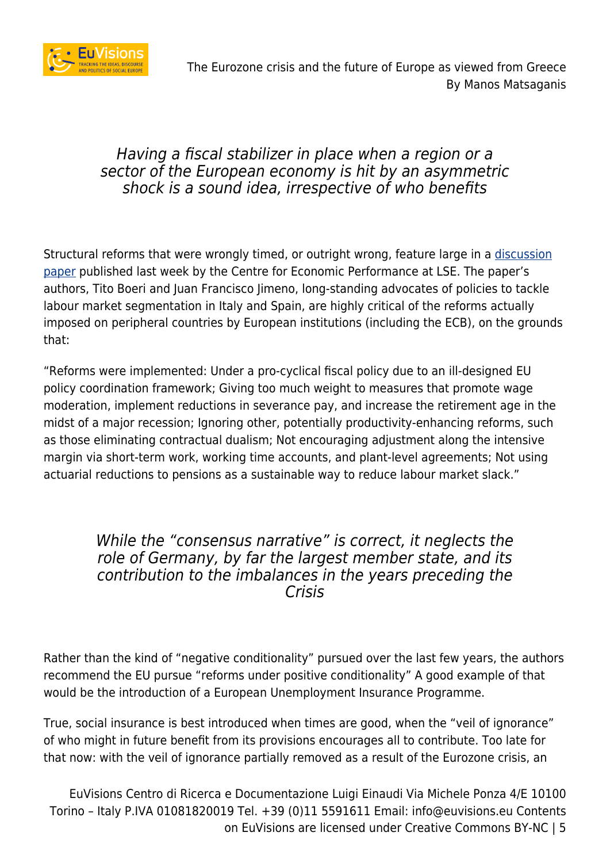

#### Having a fiscal stabilizer in place when a region or a sector of the European economy is hit by an asymmetric shock is a sound idea, irrespective of who benefits

Structural reforms that were wrongly timed, or outright wrong, feature large in a [discussion](http://cep.lse.ac.uk/pubs/download/dp1384.pdf) [paper](http://cep.lse.ac.uk/pubs/download/dp1384.pdf) published last week by the Centre for Economic Performance at LSE. The paper's authors, Tito Boeri and Juan Francisco Jimeno, long-standing advocates of policies to tackle labour market segmentation in Italy and Spain, are highly critical of the reforms actually imposed on peripheral countries by European institutions (including the ECB), on the grounds that:

"Reforms were implemented: Under a pro-cyclical fiscal policy due to an ill-designed EU policy coordination framework; Giving too much weight to measures that promote wage moderation, implement reductions in severance pay, and increase the retirement age in the midst of a major recession; Ignoring other, potentially productivity-enhancing reforms, such as those eliminating contractual dualism; Not encouraging adjustment along the intensive margin via short-term work, working time accounts, and plant-level agreements; Not using actuarial reductions to pensions as a sustainable way to reduce labour market slack."

#### While the "consensus narrative" is correct, it neglects the role of Germany, by far the largest member state, and its contribution to the imbalances in the years preceding the Crisis

Rather than the kind of "negative conditionality" pursued over the last few years, the authors recommend the EU pursue "reforms under positive conditionality" A good example of that would be the introduction of a European Unemployment Insurance Programme.

True, social insurance is best introduced when times are good, when the "veil of ignorance" of who might in future benefit from its provisions encourages all to contribute. Too late for that now: with the veil of ignorance partially removed as a result of the Eurozone crisis, an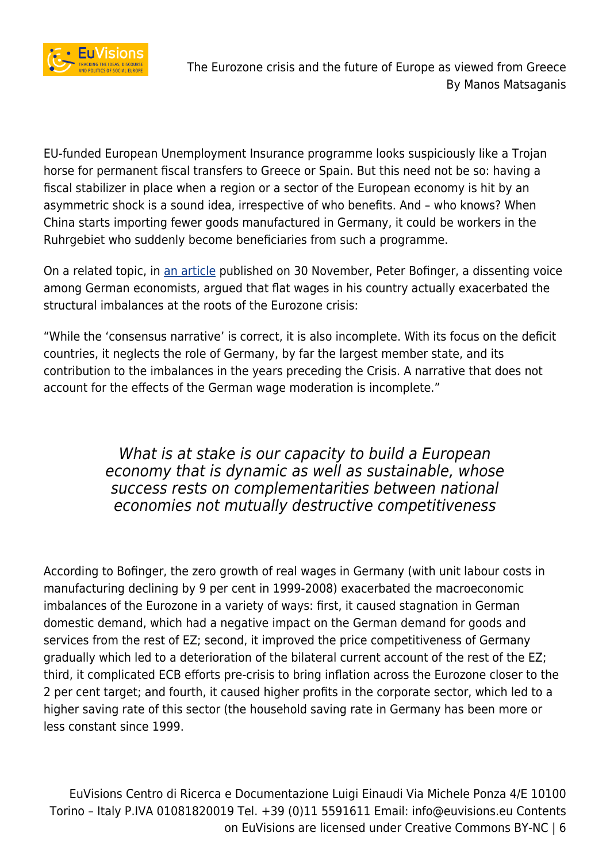

EU-funded European Unemployment Insurance programme looks suspiciously like a Trojan horse for permanent fiscal transfers to Greece or Spain. But this need not be so: having a fiscal stabilizer in place when a region or a sector of the European economy is hit by an asymmetric shock is a sound idea, irrespective of who benefits. And – who knows? When China starts importing fewer goods manufactured in Germany, it could be workers in the Ruhrgebiet who suddenly become beneficiaries from such a programme.

On a related topic, in [an article](http://www.voxeu.org/article/german-wage-moderation-and-ez-crisis) published on 30 November, Peter Bofinger, a dissenting voice among German economists, argued that flat wages in his country actually exacerbated the structural imbalances at the roots of the Eurozone crisis:

"While the 'consensus narrative' is correct, it is also incomplete. With its focus on the deficit countries, it neglects the role of Germany, by far the largest member state, and its contribution to the imbalances in the years preceding the Crisis. A narrative that does not account for the effects of the German wage moderation is incomplete."

> What is at stake is our capacity to build a European economy that is dynamic as well as sustainable, whose success rests on complementarities between national economies not mutually destructive competitiveness

According to Bofinger, the zero growth of real wages in Germany (with unit labour costs in manufacturing declining by 9 per cent in 1999-2008) exacerbated the macroeconomic imbalances of the Eurozone in a variety of ways: first, it caused stagnation in German domestic demand, which had a negative impact on the German demand for goods and services from the rest of EZ; second, it improved the price competitiveness of Germany gradually which led to a deterioration of the bilateral current account of the rest of the EZ; third, it complicated ECB efforts pre-crisis to bring inflation across the Eurozone closer to the 2 per cent target; and fourth, it caused higher profits in the corporate sector, which led to a higher saving rate of this sector (the household saving rate in Germany has been more or less constant since 1999.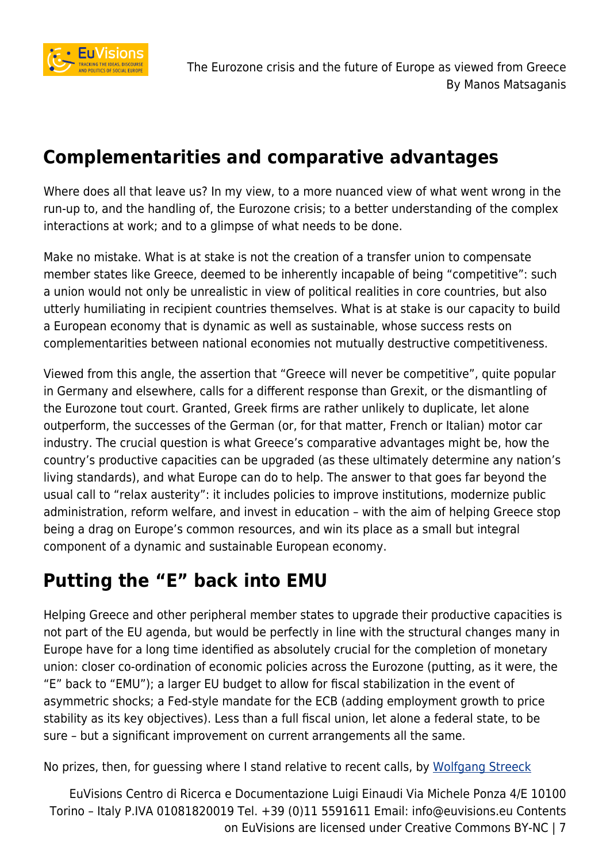

## **Complementarities and comparative advantages**

Where does all that leave us? In my view, to a more nuanced view of what went wrong in the run-up to, and the handling of, the Eurozone crisis; to a better understanding of the complex interactions at work; and to a glimpse of what needs to be done.

Make no mistake. What is at stake is not the creation of a transfer union to compensate member states like Greece, deemed to be inherently incapable of being "competitive": such a union would not only be unrealistic in view of political realities in core countries, but also utterly humiliating in recipient countries themselves. What is at stake is our capacity to build a European economy that is dynamic as well as sustainable, whose success rests on complementarities between national economies not mutually destructive competitiveness.

Viewed from this angle, the assertion that "Greece will never be competitive", quite popular in Germany and elsewhere, calls for a different response than Grexit, or the dismantling of the Eurozone tout court. Granted, Greek firms are rather unlikely to duplicate, let alone outperform, the successes of the German (or, for that matter, French or Italian) motor car industry. The crucial question is what Greece's comparative advantages might be, how the country's productive capacities can be upgraded (as these ultimately determine any nation's living standards), and what Europe can do to help. The answer to that goes far beyond the usual call to "relax austerity": it includes policies to improve institutions, modernize public administration, reform welfare, and invest in education – with the aim of helping Greece stop being a drag on Europe's common resources, and win its place as a small but integral component of a dynamic and sustainable European economy.

## **Putting the "E" back into EMU**

Helping Greece and other peripheral member states to upgrade their productive capacities is not part of the EU agenda, but would be perfectly in line with the structural changes many in Europe have for a long time identified as absolutely crucial for the completion of monetary union: closer co-ordination of economic policies across the Eurozone (putting, as it were, the "E" back to "EMU"); a larger EU budget to allow for fiscal stabilization in the event of asymmetric shocks; a Fed-style mandate for the ECB (adding employment growth to price stability as its key objectives). Less than a full fiscal union, let alone a federal state, to be sure – but a significant improvement on current arrangements all the same.

No prizes, then, for guessing where I stand relative to recent calls, by [Wolfgang Streeck](https://newleftreview.org/II/95/wolfgang-streeck-why-the-euro-divides-europe)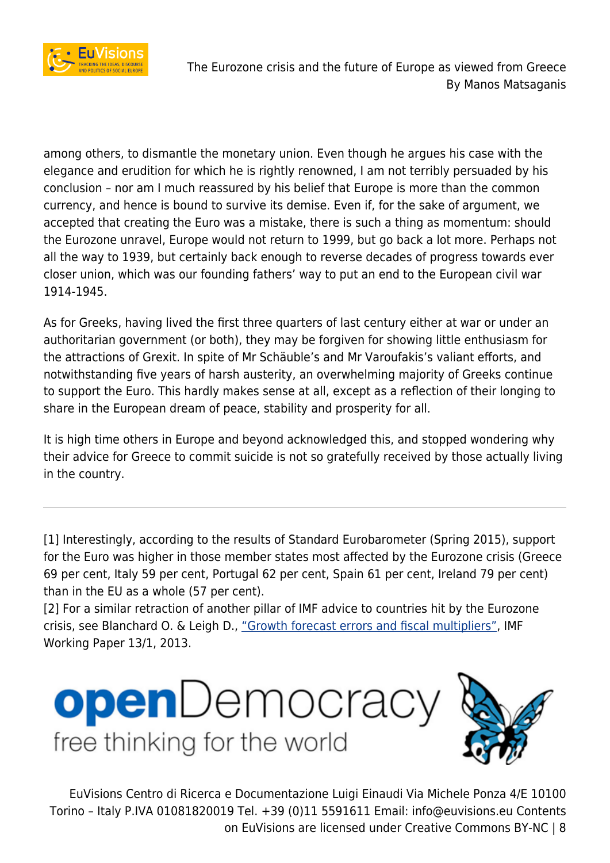

among others, to dismantle the monetary union. Even though he argues his case with the elegance and erudition for which he is rightly renowned, I am not terribly persuaded by his conclusion – nor am I much reassured by his belief that Europe is more than the common currency, and hence is bound to survive its demise. Even if, for the sake of argument, we accepted that creating the Euro was a mistake, there is such a thing as momentum: should the Eurozone unravel, Europe would not return to 1999, but go back a lot more. Perhaps not all the way to 1939, but certainly back enough to reverse decades of progress towards ever closer union, which was our founding fathers' way to put an end to the European civil war 1914-1945.

As for Greeks, having lived the first three quarters of last century either at war or under an authoritarian government (or both), they may be forgiven for showing little enthusiasm for the attractions of Grexit. In spite of Mr Schäuble's and Mr Varoufakis's valiant efforts, and notwithstanding five years of harsh austerity, an overwhelming majority of Greeks continue to support the Euro. This hardly makes sense at all, except as a reflection of their longing to share in the European dream of peace, stability and prosperity for all.

It is high time others in Europe and beyond acknowledged this, and stopped wondering why their advice for Greece to commit suicide is not so gratefully received by those actually living in the country.

[1] Interestingly, according to the results of Standard Eurobarometer (Spring 2015), support for the Euro was higher in those member states most affected by the Eurozone crisis (Greece 69 per cent, Italy 59 per cent, Portugal 62 per cent, Spain 61 per cent, Ireland 79 per cent) than in the EU as a whole (57 per cent).

[2] For a similar retraction of another pillar of IMF advice to countries hit by the Eurozone crisis, see Blanchard O. & Leigh D., ["Growth forecast errors and fiscal multipliers"](https://www.imf.org/external/pubs/cat/longres.aspx?sk=40200.0), IMF Working Paper 13/1, 2013.